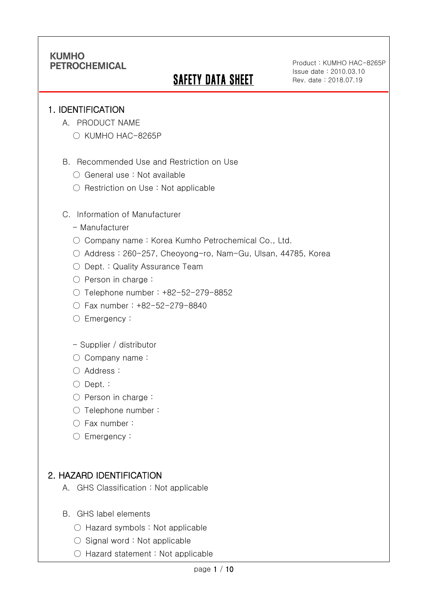# **SAFETY DATA SHEET**

Product : KUMHO HAC-8265P Issue date : 2010.03.10 Rev. date : 2018.07.19

### 1. IDENTIFICATION

Ī

- A. PRODUCT NAME
	- KUMHO HAC-8265P
- B. Recommended Use and Restriction on Use
	- General use : Not available
	- Restriction on Use : Not applicable
- C. Information of Manufacturer
	- Manufacturer
	- Company name: Korea Kumho Petrochemical Co., Ltd.
	- Address : 260-257, Cheoyong-ro, Nam-Gu, Ulsan, 44785, Korea
	- Dept. : Quality Assurance Team
	- Person in charge :
	- Telephone number : +82-52-279-8852
	- Fax number : +82-52-279-8840
	- Emergency:
	- Supplier / distributor
	- Company name:
	- Address :
	- Dept. :
	- Person in charge :
	- Telephone number :
	- Fax number :
	- Emergency:

## 2. HAZARD IDENTIFICATION

- A. GHS Classification : Not applicable
- B. GHS label elements
	- Hazard symbols : Not applicable
	- $\bigcirc$  Signal word : Not applicable
	- Hazard statement : Not applicable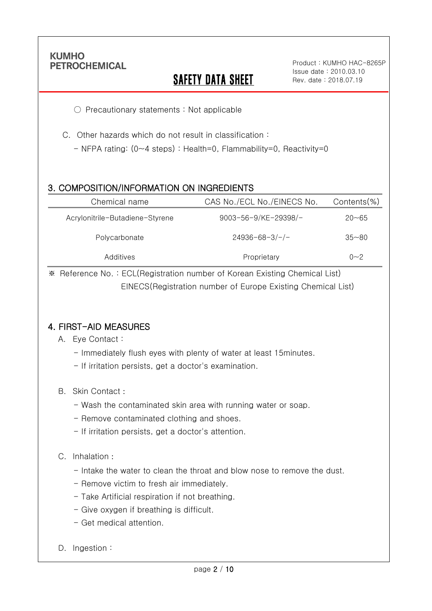Ī

# **SAFETY DATA SHEET**

Product : KUMHO HAC-8265P Issue date : 2010.03.10 Rev. date : 2018.07.19

○ Precautionary statements : Not applicable

C. Other hazards which do not result in classification :

- NFPA rating: (0~4 steps) : Health=0, Flammability=0, Reactivity=0

### 3. COMPOSITION/INFORMATION ON INGREDIENTS

| Chemical name                   | CAS No./ECL No./EINECS No. | $Contents$ %) |
|---------------------------------|----------------------------|---------------|
| Acrylonitrile-Butadiene-Styrene | 9003-56-9/KE-29398/-       | $20 - 65$     |
| Polycarbonate                   | $24936 - 68 - 3/-/-$       | $35 - 80$     |
| Additives                       | Proprietary                | $0 - 2$       |

※ Reference No. : ECL(Registration number of Korean Existing Chemical List) EINECS(Registration number of Europe Existing Chemical List)

### 4. FIRST-AID MEASURES

- A. Eye Contact :
	- Immediately flush eyes with plenty of water at least 15minutes.
	- If irritation persists, get a doctor's examination.
- B. Skin Contact :
	- Wash the contaminated skin area with running water or soap.
	- Remove contaminated clothing and shoes.
	- If irritation persists, get a doctor's attention.

#### C. Inhalation :

- Intake the water to clean the throat and blow nose to remove the dust.
- Remove victim to fresh air immediately.
- Take Artificial respiration if not breathing.
- Give oxygen if breathing is difficult.
- Get medical attention.
- D. Ingestion: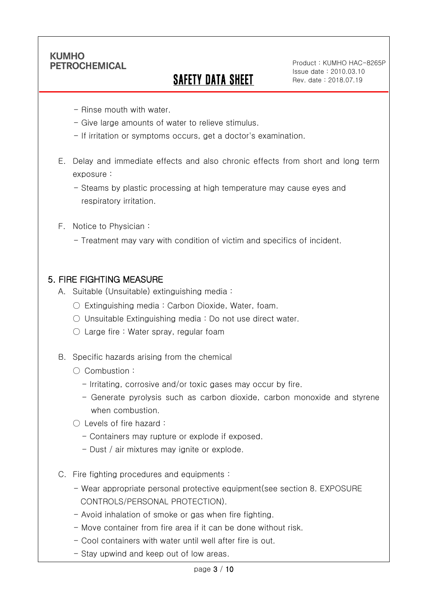Ī

# SAFETY DATA SHEET

Product : KUMHO HAC-8265P Issue date : 2010.03.10 Rev. date : 2018.07.19

- Rinse mouth with water.
- Give large amounts of water to relieve stimulus.
- If irritation or symptoms occurs, get a doctor's examination.
- E. Delay and immediate effects and also chronic effects from short and long term exposure :
	- Steams by plastic processing at high temperature may cause eyes and respiratory irritation.
- F. Notice to Physician :
	- Treatment may vary with condition of victim and specifics of incident.

### 5. FIRE FIGHTING MEASURE

- A. Suitable (Unsuitable) extinguishing media :
	- Extinguishing media : Carbon Dioxide, Water, foam.
	- Unsuitable Extinguishing media : Do not use direct water.
	- $\circlearrowright$  Large fire : Water spray, regular foam
- B. Specific hazards arising from the chemical
	- Combustion :
		- Irritating, corrosive and/or toxic gases may occur by fire.
		- Generate pyrolysis such as carbon dioxide, carbon monoxide and styrene when combustion.
	- Levels of fire hazard :
		- Containers may rupture or explode if exposed.
		- Dust / air mixtures may ignite or explode.
- C. Fire fighting procedures and equipments :
	- Wear appropriate personal protective equipment(see section 8. EXPOSURE CONTROLS/PERSONAL PROTECTION).
	- Avoid inhalation of smoke or gas when fire fighting.
	- Move container from fire area if it can be done without risk.
	- Cool containers with water until well after fire is out.
	- Stay upwind and keep out of low areas.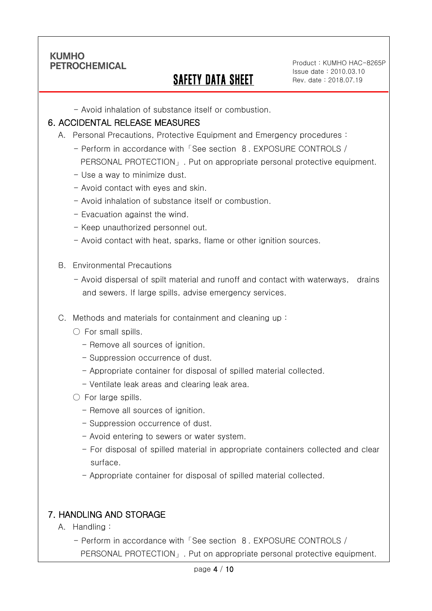Ī

## SAFETY DATA SHEET

Product : KUMHO HAC-8265P Issue date : 2010.03.10 Rev. date : 2018.07.19

- Avoid inhalation of substance itself or combustion.

#### 6. ACCIDENTAL RELEASE MEASURES

- A. Personal Precautions, Protective Equipment and Emergency procedures :
	- Perform in accordance with「See section 8. EXPOSURE CONTROLS / PERSONAL PROTECTION」. Put on appropriate personal protective equipment.
	- Use a way to minimize dust.
	- Avoid contact with eyes and skin.
	- Avoid inhalation of substance itself or combustion.
	- Evacuation against the wind.
	- Keep unauthorized personnel out.
	- Avoid contact with heat, sparks, flame or other ignition sources.
- B. Environmental Precautions
	- Avoid dispersal of spilt material and runoff and contact with waterways, drains and sewers. If large spills, advise emergency services.
- C. Methods and materials for containment and cleaning up :
	- $\bigcirc$  For small spills.
		- Remove all sources of ignition.
		- Suppression occurrence of dust.
		- Appropriate container for disposal of spilled material collected.
		- Ventilate leak areas and clearing leak area.
	- For large spills.
		- Remove all sources of ignition.
		- Suppression occurrence of dust.
		- Avoid entering to sewers or water system.
		- For disposal of spilled material in appropriate containers collected and clear surface.
		- Appropriate container for disposal of spilled material collected.

### 7. HANDLING AND STORAGE

- A. Handling :
	- Perform in accordance with「See section 8. EXPOSURE CONTROLS / PERSONAL PROTECTION」. Put on appropriate personal protective equipment.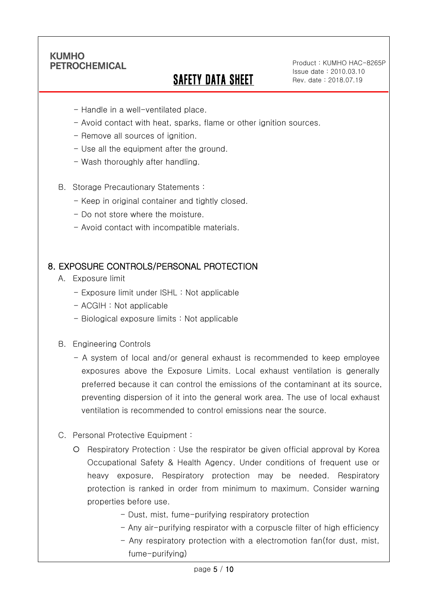Ī

# SAFETY DATA SHEET

Product : KUMHO HAC-8265P Issue date : 2010.03.10 Rev. date : 2018.07.19

- Handle in a well-ventilated place.
- Avoid contact with heat, sparks, flame or other ignition sources.
- Remove all sources of ignition.
- Use all the equipment after the ground.
- Wash thoroughly after handling.
- B. Storage Precautionary Statements :
	- Keep in original container and tightly closed.
	- Do not store where the moisture.
	- Avoid contact with incompatible materials.

#### 8. EXPOSURE CONTROLS/PERSONAL PROTECTION

- A. Exposure limit
	- Exposure limit under ISHL : Not applicable
	- ACGIH : Not applicable
	- Biological exposure limits : Not applicable
- B. Engineering Controls
	- A system of local and/or general exhaust is recommended to keep employee exposures above the Exposure Limits. Local exhaust ventilation is generally preferred because it can control the emissions of the contaminant at its source, preventing dispersion of it into the general work area. The use of local exhaust ventilation is recommended to control emissions near the source.
- C. Personal Protective Equipment :
	- Respiratory Protection : Use the respirator be given official approval by Korea Occupational Safety & Health Agency. Under conditions of frequent use or heavy exposure, Respiratory protection may be needed. Respiratory protection is ranked in order from minimum to maximum. Consider warning properties before use.
		- Dust, mist, fume-purifying respiratory protection
		- Any air-purifying respirator with a corpuscle filter of high efficiency
		- Any respiratory protection with a electromotion fan(for dust, mist, fume-purifying)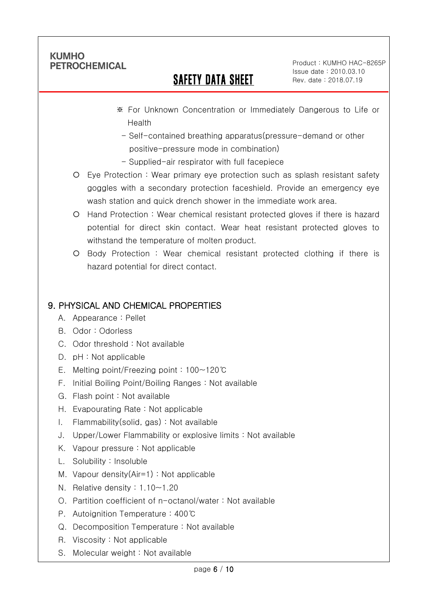Ī

# SAFETY DATA SHEET

Product : KUMHO HAC-8265P Issue date : 2010.03.10 Rev. date : 2018.07.19

- ※ For Unknown Concentration or Immediately Dangerous to Life or Health
	- Self-contained breathing apparatus(pressure-demand or other positive-pressure mode in combination)
- Supplied-air respirator with full facepiece
- Eye Protection : Wear primary eye protection such as splash resistant safety goggles with a secondary protection faceshield. Provide an emergency eye wash station and quick drench shower in the immediate work area.
- Hand Protection : Wear chemical resistant protected gloves if there is hazard potential for direct skin contact. Wear heat resistant protected gloves to withstand the temperature of molten product.
- Body Protection : Wear chemical resistant protected clothing if there is hazard potential for direct contact.

## 9. PHYSICAL AND CHEMICAL PROPERTIES

- A. Appearance : Pellet
- B. Odor : Odorless
- C. Odor threshold : Not available
- D. pH : Not applicable
- E. Melting point/Freezing point : 100~120℃
- F. Initial Boiling Point/Boiling Ranges : Not available
- G. Flash point : Not available
- H. Evapourating Rate : Not applicable
- I. Flammability(solid, gas) : Not available
- J. Upper/Lower Flammability or explosive limits : Not available
- K. Vapour pressure : Not applicable
- L. Solubility : Insoluble
- M. Vapour density(Air=1) : Not applicable
- N. Relative density : 1.10~1.20
- O. Partition coefficient of n-octanol/water : Not available
- P. Autoignition Temperature : 400℃
- Q. Decomposition Temperature : Not available
- R. Viscosity : Not applicable
- S. Molecular weight : Not available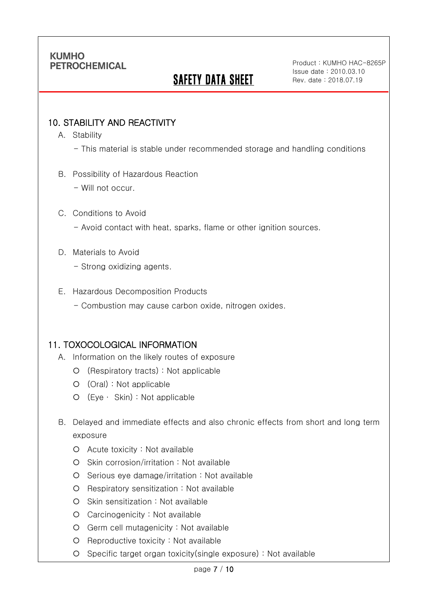# **SAFETY DATA SHEET**

Product : KUMHO HAC-8265P Issue date : 2010.03.10 Rev. date : 2018.07.19

### 10. STABILITY AND REACTIVITY

A. Stability

Ī

- This material is stable under recommended storage and handling conditions
- B. Possibility of Hazardous Reaction
	- Will not occur.

#### C. Conditions to Avoid

- Avoid contact with heat, sparks, flame or other ignition sources.
- D. Materials to Avoid
	- Strong oxidizing agents.
- E. Hazardous Decomposition Products
	- Combustion may cause carbon oxide, nitrogen oxides.

#### 11. TOXOCOLOGICAL INFORMATION

- A. Information on the likely routes of exposure
	- (Respiratory tracts) : Not applicable
	- (Oral) : Not applicable
	- (Eye ∙ Skin) : Not applicable
- B. Delayed and immediate effects and also chronic effects from short and long term exposure
	- Acute toxicity : Not available
	- O Skin corrosion/irritation : Not available
	- $O$  Serious eye damage/irritation : Not available
	- Respiratory sensitization : Not available
	- O Skin sensitization : Not available
	- Carcinogenicity : Not available
	- Germ cell mutagenicity : Not available
	- O Reproductive toxicity : Not available
	- Specific target organ toxicity(single exposure) : Not available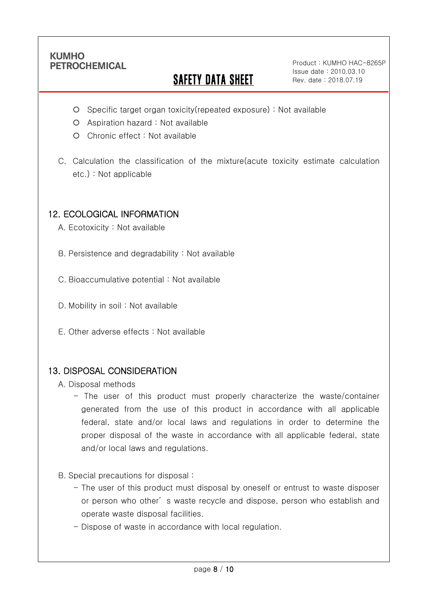Ī

# **SAFETY DATA SHEET**

Product : KUMHO HAC-8265P Issue date : 2010.03.10 Rev. date : 2018.07.19

- Specific target organ toxicity(repeated exposure) : Not available
- Aspiration hazard : Not available
- Chronic effect : Not available
- C. Calculation the classification of the mixture(acute toxicity estimate calculation etc.) : Not applicable

### 12. ECOLOGICAL INFORMATION

A. Ecotoxicity : Not available

B. Persistence and degradability : Not available

C. Bioaccumulative potential : Not available

- D. Mobility in soil : Not available
- E. Other adverse effects : Not available

#### 13. DISPOSAL CONSIDERATION

A. Disposal methods

- The user of this product must properly characterize the waste/container generated from the use of this product in accordance with all applicable federal, state and/or local laws and regulations in order to determine the proper disposal of the waste in accordance with all applicable federal, state and/or local laws and regulations.
- B. Special precautions for disposal :
	- The user of this product must disposal by oneself or entrust to waste disposer or person who other' s waste recycle and dispose, person who establish and operate waste disposal facilities.
	- Dispose of waste in accordance with local regulation.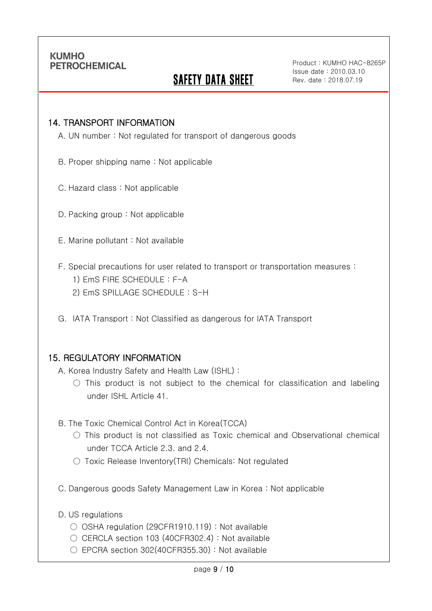Ī

# **SAFETY DATA SHEET**

Product : KUMHO HAC-8265P Issue date : 2010.03.10 Rev. date : 2018.07.19

#### 14. TRANSPORT INFORMATION

A. UN number : Not regulated for transport of dangerous goods

- B. Proper shipping name : Not applicable
- C. Hazard class : Not applicable
- D. Packing group : Not applicable
- E. Marine pollutant : Not available
- F. Special precautions for user related to transport or transportation measures :
	- 1) EmS FIRE SCHEDULE : F-A
	- 2) EmS SPILLAGE SCHEDULE : S-H
- G. IATA Transport : Not Classified as dangerous for IATA Transport

#### 15. REGULATORY INFORMATION

A. Korea Industry Safety and Health Law (ISHL) :

- $\bigcirc$  This product is not subject to the chemical for classification and labeling under ISHL Article 41.
- B. The Toxic Chemical Control Act in Korea(TCCA)
	- $\bigcirc$  This product is not classified as Toxic chemical and Observational chemical under TCCA Article 2.3. and 2.4.
	- Toxic Release Inventory(TRI) Chemicals: Not regulated
- C. Dangerous goods Safety Management Law in Korea : Not applicable
- D. US regulations
	- OSHA regulation (29CFR1910.119) : Not available
	- CERCLA section 103 (40CFR302.4) : Not available
	- $\circ$  EPCRA section 302(40CFR355.30) : Not available